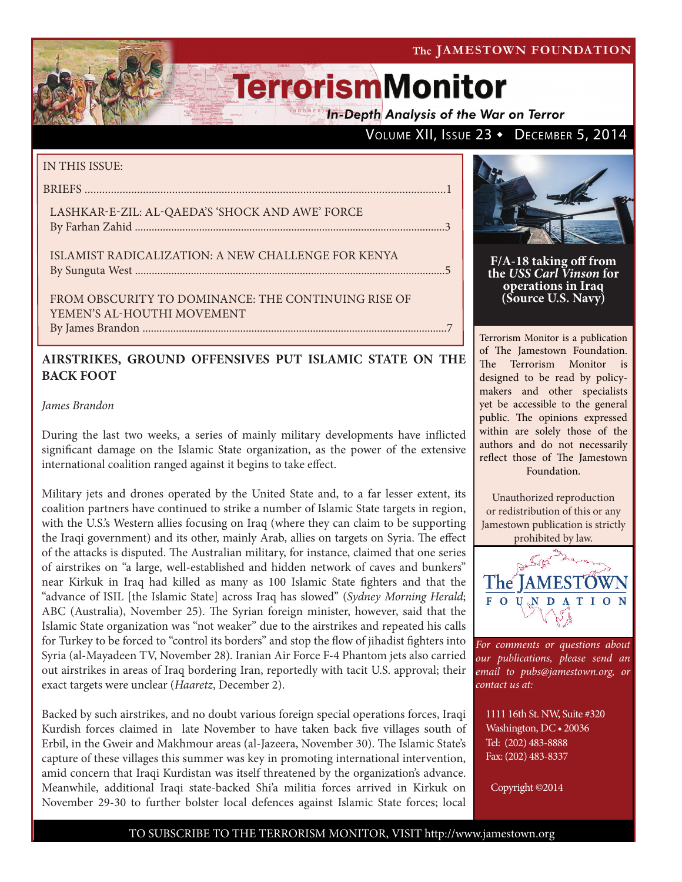The JAMESTOWN FOUNDATION

# **TerrorismMonitor**

**In-Depth Analysis of the War on Terror** 

### VOLUME XII, ISSUE 23 • DECEMBER 5, 2014

#### IN THIS ISSUE:

BRIEFS ............................................................................................................................1

LASHKAR-E-ZIL: AL-QAEDA'S 'SHOCK AND AWE' FORCE By Farhan Zahid ...............................................................................................................3

ISLAMIST RADICALIZATION: A NEW CHALLENGE FOR KENYA By Sunguta West ...............................................................................................................5

FROM OBSCURITY TO DOMINANCE: THE CONTINUING RISE OF YEMEN'S AL-HOUTHI MOVEMENT

By James Brandon .............................................................................................................7

### **AIRSTRIKES, GROUND OFFENSIVES PUT ISLAMIC STATE ON THE BACK FOOT**

*James Brandon*

During the last two weeks, a series of mainly military developments have inflicted significant damage on the Islamic State organization, as the power of the extensive international coalition ranged against it begins to take effect.

Military jets and drones operated by the United State and, to a far lesser extent, its coalition partners have continued to strike a number of Islamic State targets in region, with the U.S.'s Western allies focusing on Iraq (where they can claim to be supporting the Iraqi government) and its other, mainly Arab, allies on targets on Syria. The effect of the attacks is disputed. The Australian military, for instance, claimed that one series of airstrikes on "a large, well-established and hidden network of caves and bunkers" near Kirkuk in Iraq had killed as many as 100 Islamic State fighters and that the "advance of ISIL [the Islamic State] across Iraq has slowed" (*Sydney Morning Herald*; ABC (Australia), November 25). The Syrian foreign minister, however, said that the Islamic State organization was "not weaker" due to the airstrikes and repeated his calls for Turkey to be forced to "control its borders" and stop the flow of jihadist fighters into Syria (al-Mayadeen TV, November 28). Iranian Air Force F-4 Phantom jets also carried out airstrikes in areas of Iraq bordering Iran, reportedly with tacit U.S. approval; their exact targets were unclear (*Haaretz*, December 2).

Backed by such airstrikes, and no doubt various foreign special operations forces, Iraqi Kurdish forces claimed in late November to have taken back five villages south of Erbil, in the Gweir and Makhmour areas (al-Jazeera, November 30). The Islamic State's capture of these villages this summer was key in promoting international intervention, amid concern that Iraqi Kurdistan was itself threatened by the organization's advance. Meanwhile, additional Iraqi state-backed Shi'a militia forces arrived in Kirkuk on November 29-30 to further bolster local defences against Islamic State forces; local



**F/A-18 taking off from the** *USS Carl Vinson* **for operations in Iraq (Source U.S. Navy)**

Terrorism Monitor is a publication of The Jamestown Foundation. The Terrorism Monitor is designed to be read by policymakers and other specialists yet be accessible to the general public. The opinions expressed within are solely those of the authors and do not necessarily reflect those of The Jamestown Foundation.

Unauthorized reproduction or redistribution of this or any Jamestown publication is strictly prohibited by law.



*For comments or questions about our publications, please send an email to pubs@jamestown.org, or contact us at:* 

1111 16th St. NW, Suite #320 Washington, DC • 20036 Tel: (202) 483-8888 Fax: (202) 483-8337

Copyright ©2014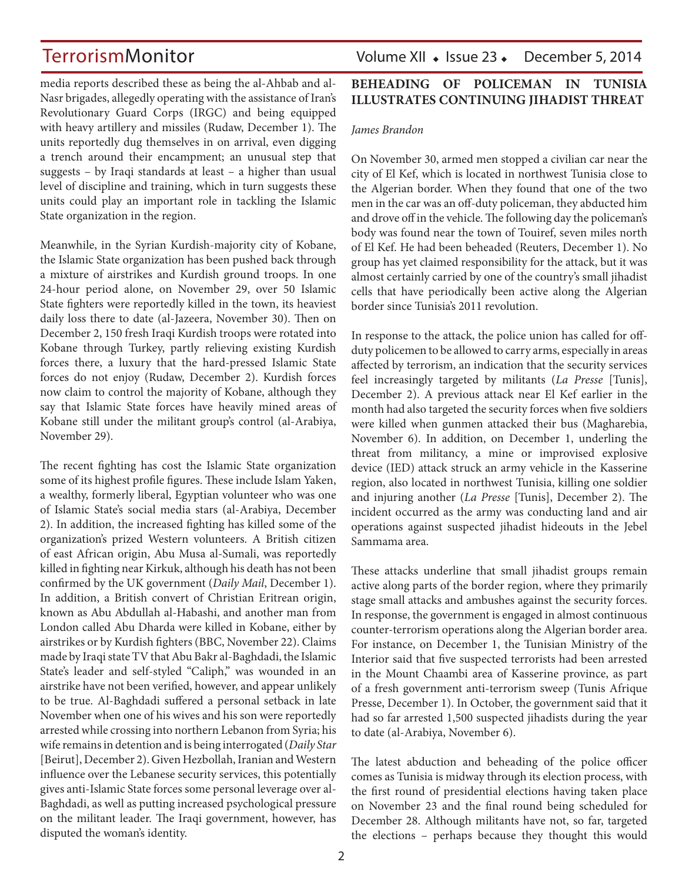media reports described these as being the al-Ahbab and al-Nasr brigades, allegedly operating with the assistance of Iran's Revolutionary Guard Corps (IRGC) and being equipped with heavy artillery and missiles (Rudaw, December 1). The units reportedly dug themselves in on arrival, even digging a trench around their encampment; an unusual step that suggests – by Iraqi standards at least – a higher than usual level of discipline and training, which in turn suggests these units could play an important role in tackling the Islamic State organization in the region.

Meanwhile, in the Syrian Kurdish-majority city of Kobane, the Islamic State organization has been pushed back through a mixture of airstrikes and Kurdish ground troops. In one 24-hour period alone, on November 29, over 50 Islamic State fighters were reportedly killed in the town, its heaviest daily loss there to date (al-Jazeera, November 30). Then on December 2, 150 fresh Iraqi Kurdish troops were rotated into Kobane through Turkey, partly relieving existing Kurdish forces there, a luxury that the hard-pressed Islamic State forces do not enjoy (Rudaw, December 2). Kurdish forces now claim to control the majority of Kobane, although they say that Islamic State forces have heavily mined areas of Kobane still under the militant group's control (al-Arabiya, November 29).

The recent fighting has cost the Islamic State organization some of its highest profile figures. These include Islam Yaken, a wealthy, formerly liberal, Egyptian volunteer who was one of Islamic State's social media stars (al-Arabiya, December 2). In addition, the increased fighting has killed some of the organization's prized Western volunteers. A British citizen of east African origin, Abu Musa al-Sumali, was reportedly killed in fighting near Kirkuk, although his death has not been confirmed by the UK government (*Daily Mail*, December 1). In addition, a British convert of Christian Eritrean origin, known as Abu Abdullah al-Habashi, and another man from London called Abu Dharda were killed in Kobane, either by airstrikes or by Kurdish fighters (BBC, November 22). Claims made by Iraqi state TV that Abu Bakr al-Baghdadi, the Islamic State's leader and self-styled "Caliph," was wounded in an airstrike have not been verified, however, and appear unlikely to be true. Al-Baghdadi suffered a personal setback in late November when one of his wives and his son were reportedly arrested while crossing into northern Lebanon from Syria; his wife remains in detention and is being interrogated (*Daily Star* [Beirut], December 2). Given Hezbollah, Iranian and Western influence over the Lebanese security services, this potentially gives anti-Islamic State forces some personal leverage over al-Baghdadi, as well as putting increased psychological pressure on the militant leader. The Iraqi government, however, has disputed the woman's identity.

### TerrorismMonitor Volume XII • Issue 23 • December 5, 2014

### **BEHEADING OF POLICEMAN IN TUNISIA ILLUSTRATES CONTINUING JIHADIST THREAT**

#### *James Brandon*

On November 30, armed men stopped a civilian car near the city of El Kef, which is located in northwest Tunisia close to the Algerian border. When they found that one of the two men in the car was an off-duty policeman, they abducted him and drove off in the vehicle. The following day the policeman's body was found near the town of Touiref, seven miles north of El Kef. He had been beheaded (Reuters, December 1). No group has yet claimed responsibility for the attack, but it was almost certainly carried by one of the country's small jihadist cells that have periodically been active along the Algerian border since Tunisia's 2011 revolution.

In response to the attack, the police union has called for offduty policemen to be allowed to carry arms, especially in areas affected by terrorism, an indication that the security services feel increasingly targeted by militants (*La Presse* [Tunis], December 2). A previous attack near El Kef earlier in the month had also targeted the security forces when five soldiers were killed when gunmen attacked their bus (Magharebia, November 6). In addition, on December 1, underling the threat from militancy, a mine or improvised explosive device (IED) attack struck an army vehicle in the Kasserine region, also located in northwest Tunisia, killing one soldier and injuring another (*La Presse* [Tunis], December 2). The incident occurred as the army was conducting land and air operations against suspected jihadist hideouts in the Jebel Sammama area.

These attacks underline that small jihadist groups remain active along parts of the border region, where they primarily stage small attacks and ambushes against the security forces. In response, the government is engaged in almost continuous counter-terrorism operations along the Algerian border area. For instance, on December 1, the Tunisian Ministry of the Interior said that five suspected terrorists had been arrested in the Mount Chaambi area of Kasserine province, as part of a fresh government anti-terrorism sweep (Tunis Afrique Presse, December 1). In October, the government said that it had so far arrested 1,500 suspected jihadists during the year to date (al-Arabiya, November 6).

The latest abduction and beheading of the police officer comes as Tunisia is midway through its election process, with the first round of presidential elections having taken place on November 23 and the final round being scheduled for December 28. Although militants have not, so far, targeted the elections – perhaps because they thought this would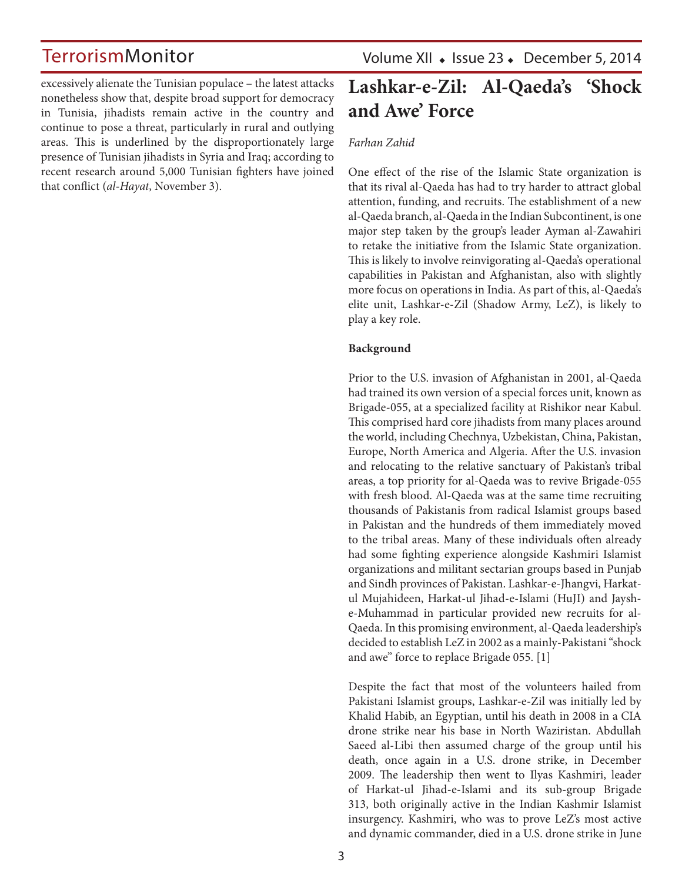excessively alienate the Tunisian populace – the latest attacks nonetheless show that, despite broad support for democracy in Tunisia, jihadists remain active in the country and continue to pose a threat, particularly in rural and outlying areas. This is underlined by the disproportionately large presence of Tunisian jihadists in Syria and Iraq; according to recent research around 5,000 Tunisian fighters have joined that conflict (*al-Hayat*, November 3).

Volume XII  $\bullet$  Issue 23  $\bullet$  December 5, 2014

## **Lashkar-e-Zil: Al-Qaeda's 'Shock and Awe' Force**

#### *Farhan Zahid*

One effect of the rise of the Islamic State organization is that its rival al-Qaeda has had to try harder to attract global attention, funding, and recruits. The establishment of a new al-Qaeda branch, al-Qaeda in the Indian Subcontinent, is one major step taken by the group's leader Ayman al-Zawahiri to retake the initiative from the Islamic State organization. This is likely to involve reinvigorating al-Qaeda's operational capabilities in Pakistan and Afghanistan, also with slightly more focus on operations in India. As part of this, al-Qaeda's elite unit, Lashkar-e-Zil (Shadow Army, LeZ), is likely to play a key role.

#### **Background**

Prior to the U.S. invasion of Afghanistan in 2001, al-Qaeda had trained its own version of a special forces unit, known as Brigade-055, at a specialized facility at Rishikor near Kabul. This comprised hard core jihadists from many places around the world, including Chechnya, Uzbekistan, China, Pakistan, Europe, North America and Algeria. After the U.S. invasion and relocating to the relative sanctuary of Pakistan's tribal areas, a top priority for al-Qaeda was to revive Brigade-055 with fresh blood. Al-Qaeda was at the same time recruiting thousands of Pakistanis from radical Islamist groups based in Pakistan and the hundreds of them immediately moved to the tribal areas. Many of these individuals often already had some fighting experience alongside Kashmiri Islamist organizations and militant sectarian groups based in Punjab and Sindh provinces of Pakistan. Lashkar-e-Jhangvi, Harkatul Mujahideen, Harkat-ul Jihad-e-Islami (HuJI) and Jayshe-Muhammad in particular provided new recruits for al-Qaeda. In this promising environment, al-Qaeda leadership's decided to establish LeZ in 2002 as a mainly-Pakistani "shock and awe" force to replace Brigade 055. [1]

Despite the fact that most of the volunteers hailed from Pakistani Islamist groups, Lashkar-e-Zil was initially led by Khalid Habib, an Egyptian, until his death in 2008 in a CIA drone strike near his base in North Waziristan. Abdullah Saeed al-Libi then assumed charge of the group until his death, once again in a U.S. drone strike, in December 2009. The leadership then went to Ilyas Kashmiri, leader of Harkat-ul Jihad-e-Islami and its sub-group Brigade 313, both originally active in the Indian Kashmir Islamist insurgency. Kashmiri, who was to prove LeZ's most active and dynamic commander, died in a U.S. drone strike in June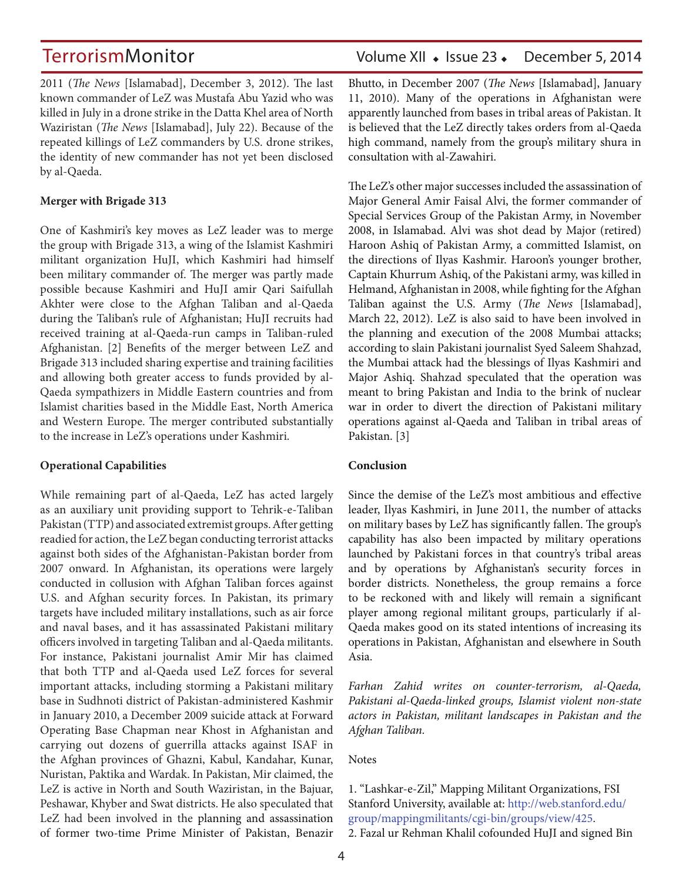2011 (*The News* [Islamabad], December 3, 2012). The last known commander of LeZ was Mustafa Abu Yazid who was killed in July in a drone strike in the Datta Khel area of North Waziristan (*The News* [Islamabad], July 22). Because of the repeated killings of LeZ commanders by U.S. drone strikes, the identity of new commander has not yet been disclosed by al-Qaeda.

#### **Merger with Brigade 313**

One of Kashmiri's key moves as LeZ leader was to merge the group with Brigade 313, a wing of the Islamist Kashmiri militant organization HuJI, which Kashmiri had himself been military commander of. The merger was partly made possible because Kashmiri and HuJI amir Qari Saifullah Akhter were close to the Afghan Taliban and al-Qaeda during the Taliban's rule of Afghanistan; HuJI recruits had received training at al-Qaeda-run camps in Taliban-ruled Afghanistan. [2] Benefits of the merger between LeZ and Brigade 313 included sharing expertise and training facilities and allowing both greater access to funds provided by al-Qaeda sympathizers in Middle Eastern countries and from Islamist charities based in the Middle East, North America and Western Europe. The merger contributed substantially to the increase in LeZ's operations under Kashmiri.

#### **Operational Capabilities**

While remaining part of al-Qaeda, LeZ has acted largely as an auxiliary unit providing support to Tehrik-e-Taliban Pakistan (TTP) and associated extremist groups. After getting readied for action, the LeZ began conducting terrorist attacks against both sides of the Afghanistan-Pakistan border from 2007 onward. In Afghanistan, its operations were largely conducted in collusion with Afghan Taliban forces against U.S. and Afghan security forces. In Pakistan, its primary targets have included military installations, such as air force and naval bases, and it has assassinated Pakistani military officers involved in targeting Taliban and al-Qaeda militants. For instance, Pakistani journalist Amir Mir has claimed that both TTP and al-Qaeda used LeZ forces for several important attacks, including storming a Pakistani military base in Sudhnoti district of Pakistan-administered Kashmir in January 2010, a December 2009 suicide attack at Forward Operating Base Chapman near Khost in Afghanistan and carrying out dozens of guerrilla attacks against ISAF in the Afghan provinces of Ghazni, Kabul, Kandahar, Kunar, Nuristan, Paktika and Wardak. In Pakistan, Mir claimed, the LeZ is active in North and South Waziristan, in the Bajuar, Peshawar, Khyber and Swat districts. He also speculated that LeZ had been involved in the planning and assassination of former two-time Prime Minister of Pakistan, Benazir Bhutto, in December 2007 (*The News* [Islamabad], January 11, 2010). Many of the operations in Afghanistan were apparently launched from bases in tribal areas of Pakistan. It is believed that the LeZ directly takes orders from al-Qaeda high command, namely from the group's military shura in consultation with al-Zawahiri.

The LeZ's other major successes included the assassination of Major General Amir Faisal Alvi, the former commander of Special Services Group of the Pakistan Army, in November 2008, in Islamabad. Alvi was shot dead by Major (retired) Haroon Ashiq of Pakistan Army, a committed Islamist, on the directions of Ilyas Kashmir. Haroon's younger brother, Captain Khurrum Ashiq, of the Pakistani army, was killed in Helmand, Afghanistan in 2008, while fighting for the Afghan Taliban against the U.S. Army (*The News* [Islamabad], March 22, 2012). LeZ is also said to have been involved in the planning and execution of the 2008 Mumbai attacks; according to slain Pakistani journalist Syed Saleem Shahzad, the Mumbai attack had the blessings of Ilyas Kashmiri and Major Ashiq. Shahzad speculated that the operation was meant to bring Pakistan and India to the brink of nuclear war in order to divert the direction of Pakistani military operations against al-Qaeda and Taliban in tribal areas of Pakistan. [3]

#### **Conclusion**

Since the demise of the LeZ's most ambitious and effective leader, Ilyas Kashmiri, in June 2011, the number of attacks on military bases by LeZ has significantly fallen. The group's capability has also been impacted by military operations launched by Pakistani forces in that country's tribal areas and by operations by Afghanistan's security forces in border districts. Nonetheless, the group remains a force to be reckoned with and likely will remain a significant player among regional militant groups, particularly if al-Qaeda makes good on its stated intentions of increasing its operations in Pakistan, Afghanistan and elsewhere in South Asia.

*Farhan Zahid writes on counter-terrorism, al-Qaeda, Pakistani al-Qaeda-linked groups, Islamist violent non-state actors in Pakistan, militant landscapes in Pakistan and the Afghan Taliban.*

**Notes** 

1. "Lashkar-e-Zil," Mapping Militant Organizations, FSI Stanford University, available at: http://web.stanford.edu/ group/mappingmilitants/cgi-bin/groups/view/425. 2. Fazal ur Rehman Khalil cofounded HuJI and signed Bin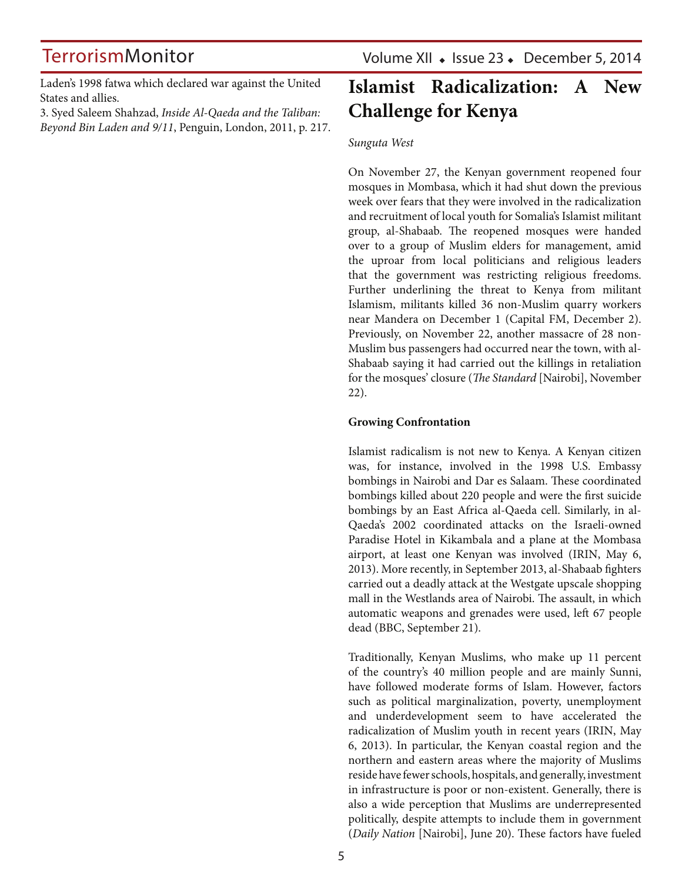Laden's 1998 fatwa which declared war against the United States and allies.

3. Syed Saleem Shahzad, *Inside Al-Qaeda and the Taliban: Beyond Bin Laden and 9/11*, Penguin, London, 2011, p. 217.

## **Islamist Radicalization: A New Challenge for Kenya**

#### *Sunguta West*

On November 27, the Kenyan government reopened four mosques in Mombasa, which it had shut down the previous week over fears that they were involved in the radicalization and recruitment of local youth for Somalia's Islamist militant group, al-Shabaab. The reopened mosques were handed over to a group of Muslim elders for management, amid the uproar from local politicians and religious leaders that the government was restricting religious freedoms. Further underlining the threat to Kenya from militant Islamism, militants killed 36 non-Muslim quarry workers near Mandera on December 1 (Capital FM, December 2). Previously, on November 22, another massacre of 28 non-Muslim bus passengers had occurred near the town, with al-Shabaab saying it had carried out the killings in retaliation for the mosques' closure (*The Standard* [Nairobi], November 22).

#### **Growing Confrontation**

Islamist radicalism is not new to Kenya. A Kenyan citizen was, for instance, involved in the 1998 U.S. Embassy bombings in Nairobi and Dar es Salaam. These coordinated bombings killed about 220 people and were the first suicide bombings by an East Africa al-Qaeda cell. Similarly, in al-Qaeda's 2002 coordinated attacks on the Israeli-owned Paradise Hotel in Kikambala and a plane at the Mombasa airport, at least one Kenyan was involved (IRIN, May 6, 2013). More recently, in September 2013, al-Shabaab fighters carried out a deadly attack at the Westgate upscale shopping mall in the Westlands area of Nairobi. The assault, in which automatic weapons and grenades were used, left 67 people dead (BBC, September 21).

Traditionally, Kenyan Muslims, who make up 11 percent of the country's 40 million people and are mainly Sunni, have followed moderate forms of Islam. However, factors such as political marginalization, poverty, unemployment and underdevelopment seem to have accelerated the radicalization of Muslim youth in recent years (IRIN, May 6, 2013). In particular, the Kenyan coastal region and the northern and eastern areas where the majority of Muslims reside have fewer schools, hospitals, and generally, investment in infrastructure is poor or non-existent. Generally, there is also a wide perception that Muslims are underrepresented politically, despite attempts to include them in government (*Daily Nation* [Nairobi], June 20). These factors have fueled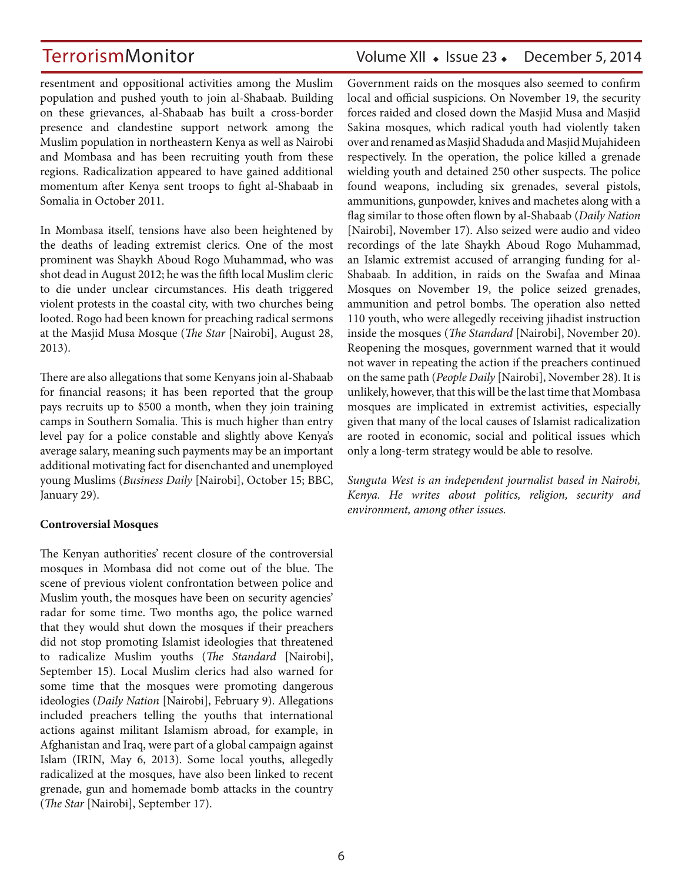### TerrorismMonitor Volume XII • Issue 23 • December 5, 2014

resentment and oppositional activities among the Muslim population and pushed youth to join al-Shabaab. Building on these grievances, al-Shabaab has built a cross-border presence and clandestine support network among the Muslim population in northeastern Kenya as well as Nairobi and Mombasa and has been recruiting youth from these regions. Radicalization appeared to have gained additional momentum after Kenya sent troops to fight al-Shabaab in Somalia in October 2011.

In Mombasa itself, tensions have also been heightened by the deaths of leading extremist clerics. One of the most prominent was Shaykh Aboud Rogo Muhammad, who was shot dead in August 2012; he was the fifth local Muslim cleric to die under unclear circumstances. His death triggered violent protests in the coastal city, with two churches being looted. Rogo had been known for preaching radical sermons at the Masjid Musa Mosque (*The Star* [Nairobi], August 28, 2013).

There are also allegations that some Kenyans join al-Shabaab for financial reasons; it has been reported that the group pays recruits up to \$500 a month, when they join training camps in Southern Somalia. This is much higher than entry level pay for a police constable and slightly above Kenya's average salary, meaning such payments may be an important additional motivating fact for disenchanted and unemployed young Muslims (*Business Daily* [Nairobi], October 15; BBC, January 29).

#### **Controversial Mosques**

The Kenyan authorities' recent closure of the controversial mosques in Mombasa did not come out of the blue. The scene of previous violent confrontation between police and Muslim youth, the mosques have been on security agencies' radar for some time. Two months ago, the police warned that they would shut down the mosques if their preachers did not stop promoting Islamist ideologies that threatened to radicalize Muslim youths (*The Standard* [Nairobi], September 15). Local Muslim clerics had also warned for some time that the mosques were promoting dangerous ideologies (*Daily Nation* [Nairobi], February 9). Allegations included preachers telling the youths that international actions against militant Islamism abroad, for example, in Afghanistan and Iraq, were part of a global campaign against Islam (IRIN, May 6, 2013). Some local youths, allegedly radicalized at the mosques, have also been linked to recent grenade, gun and homemade bomb attacks in the country (*The Star* [Nairobi], September 17).

Government raids on the mosques also seemed to confirm local and official suspicions. On November 19, the security forces raided and closed down the Masjid Musa and Masjid Sakina mosques, which radical youth had violently taken over and renamed as Masjid Shaduda and Masjid Mujahideen respectively. In the operation, the police killed a grenade wielding youth and detained 250 other suspects. The police found weapons, including six grenades, several pistols, ammunitions, gunpowder, knives and machetes along with a flag similar to those often flown by al-Shabaab (*Daily Nation* [Nairobi], November 17). Also seized were audio and video recordings of the late Shaykh Aboud Rogo Muhammad, an Islamic extremist accused of arranging funding for al-Shabaab. In addition, in raids on the Swafaa and Minaa Mosques on November 19, the police seized grenades, ammunition and petrol bombs. The operation also netted 110 youth, who were allegedly receiving jihadist instruction inside the mosques (*The Standard* [Nairobi], November 20). Reopening the mosques, government warned that it would not waver in repeating the action if the preachers continued on the same path (*People Daily* [Nairobi], November 28). It is unlikely, however, that this will be the last time that Mombasa mosques are implicated in extremist activities, especially given that many of the local causes of Islamist radicalization are rooted in economic, social and political issues which only a long-term strategy would be able to resolve.

*Sunguta West is an independent journalist based in Nairobi, Kenya. He writes about politics, religion, security and environment, among other issues.*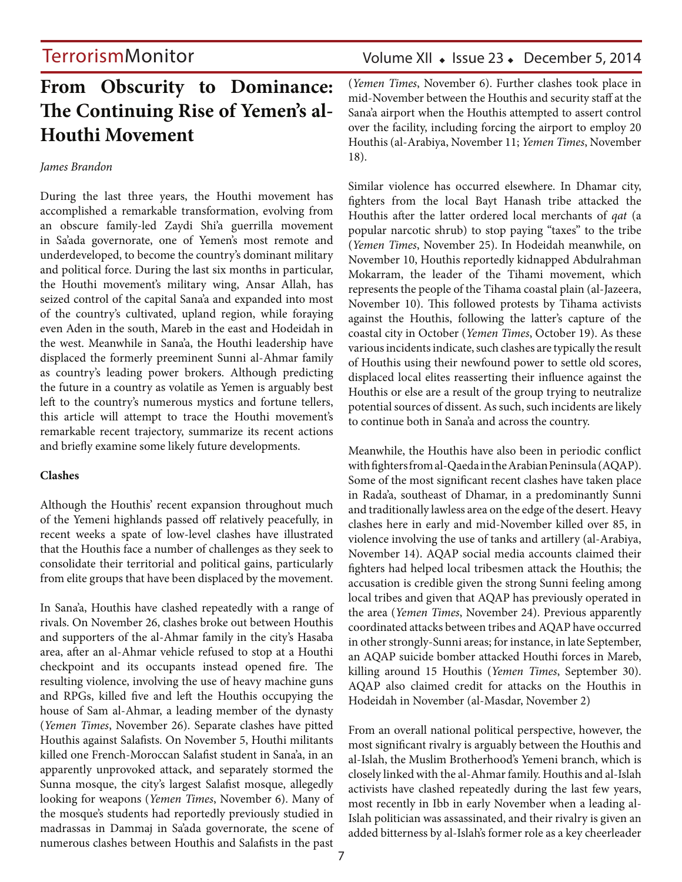### Volume XII • Issue 23 • December 5, 2014

### **From Obscurity to Dominance: The Continuing Rise of Yemen's al-Houthi Movement**

#### *James Brandon*

During the last three years, the Houthi movement has accomplished a remarkable transformation, evolving from an obscure family-led Zaydi Shi'a guerrilla movement in Sa'ada governorate, one of Yemen's most remote and underdeveloped, to become the country's dominant military and political force. During the last six months in particular, the Houthi movement's military wing, Ansar Allah, has seized control of the capital Sana'a and expanded into most of the country's cultivated, upland region, while foraying even Aden in the south, Mareb in the east and Hodeidah in the west. Meanwhile in Sana'a, the Houthi leadership have displaced the formerly preeminent Sunni al-Ahmar family as country's leading power brokers. Although predicting the future in a country as volatile as Yemen is arguably best left to the country's numerous mystics and fortune tellers, this article will attempt to trace the Houthi movement's remarkable recent trajectory, summarize its recent actions and briefly examine some likely future developments.

#### **Clashes**

Although the Houthis' recent expansion throughout much of the Yemeni highlands passed off relatively peacefully, in recent weeks a spate of low-level clashes have illustrated that the Houthis face a number of challenges as they seek to consolidate their territorial and political gains, particularly from elite groups that have been displaced by the movement.

In Sana'a, Houthis have clashed repeatedly with a range of rivals. On November 26, clashes broke out between Houthis and supporters of the al-Ahmar family in the city's Hasaba area, after an al-Ahmar vehicle refused to stop at a Houthi checkpoint and its occupants instead opened fire. The resulting violence, involving the use of heavy machine guns and RPGs, killed five and left the Houthis occupying the house of Sam al-Ahmar, a leading member of the dynasty (*Yemen Times*, November 26). Separate clashes have pitted Houthis against Salafists. On November 5, Houthi militants killed one French-Moroccan Salafist student in Sana'a, in an apparently unprovoked attack, and separately stormed the Sunna mosque, the city's largest Salafist mosque, allegedly looking for weapons (*Yemen Times*, November 6). Many of the mosque's students had reportedly previously studied in madrassas in Dammaj in Sa'ada governorate, the scene of numerous clashes between Houthis and Salafists in the past

(*Yemen Times*, November 6). Further clashes took place in mid-November between the Houthis and security staff at the Sana'a airport when the Houthis attempted to assert control over the facility, including forcing the airport to employ 20 Houthis (al-Arabiya, November 11; *Yemen Times*, November 18).

Similar violence has occurred elsewhere. In Dhamar city, fighters from the local Bayt Hanash tribe attacked the Houthis after the latter ordered local merchants of *qat* (a popular narcotic shrub) to stop paying "taxes" to the tribe (*Yemen Times*, November 25). In Hodeidah meanwhile, on November 10, Houthis reportedly kidnapped Abdulrahman Mokarram, the leader of the Tihami movement, which represents the people of the Tihama coastal plain (al-Jazeera, November 10). This followed protests by Tihama activists against the Houthis, following the latter's capture of the coastal city in October (*Yemen Times*, October 19). As these various incidents indicate, such clashes are typically the result of Houthis using their newfound power to settle old scores, displaced local elites reasserting their influence against the Houthis or else are a result of the group trying to neutralize potential sources of dissent. As such, such incidents are likely to continue both in Sana'a and across the country.

Meanwhile, the Houthis have also been in periodic conflict with fighters from al-Qaeda in the Arabian Peninsula (AQAP). Some of the most significant recent clashes have taken place in Rada'a, southeast of Dhamar, in a predominantly Sunni and traditionally lawless area on the edge of the desert. Heavy clashes here in early and mid-November killed over 85, in violence involving the use of tanks and artillery (al-Arabiya, November 14). AQAP social media accounts claimed their fighters had helped local tribesmen attack the Houthis; the accusation is credible given the strong Sunni feeling among local tribes and given that AQAP has previously operated in the area (*Yemen Times*, November 24). Previous apparently coordinated attacks between tribes and AQAP have occurred in other strongly-Sunni areas; for instance, in late September, an AQAP suicide bomber attacked Houthi forces in Mareb, killing around 15 Houthis (*Yemen Times*, September 30). AQAP also claimed credit for attacks on the Houthis in Hodeidah in November (al-Masdar, November 2)

From an overall national political perspective, however, the most significant rivalry is arguably between the Houthis and al-Islah, the Muslim Brotherhood's Yemeni branch, which is closely linked with the al-Ahmar family. Houthis and al-Islah activists have clashed repeatedly during the last few years, most recently in Ibb in early November when a leading al-Islah politician was assassinated, and their rivalry is given an added bitterness by al-Islah's former role as a key cheerleader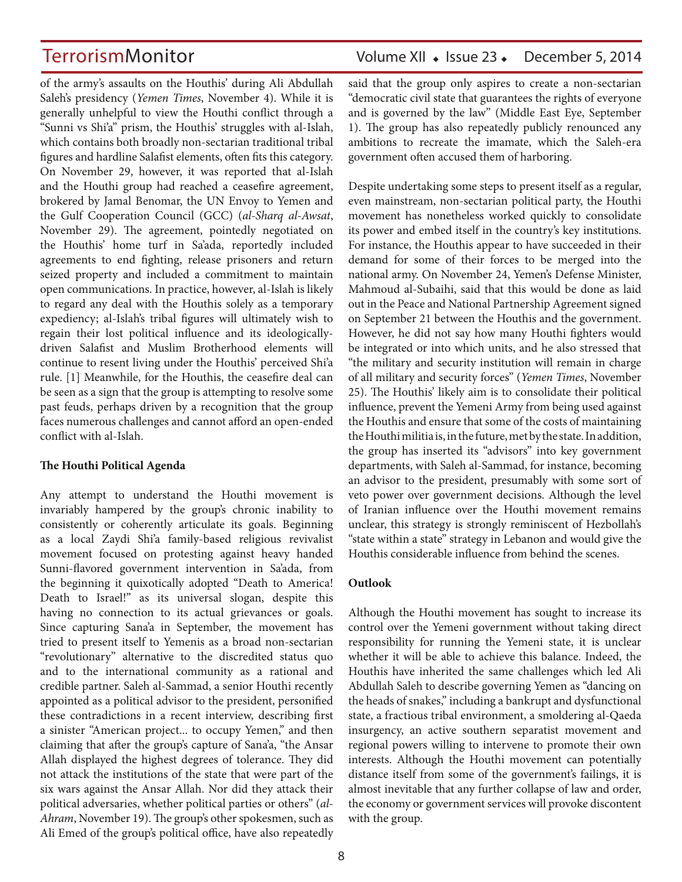of the army's assaults on the Houthis' during Ali Abdullah Saleh's presidency (*Yemen Times*, November 4). While it is generally unhelpful to view the Houthi conflict through a "Sunni vs Shi'a" prism, the Houthis' struggles with al-Islah, which contains both broadly non-sectarian traditional tribal figures and hardline Salafist elements, often fits this category. On November 29, however, it was reported that al-Islah and the Houthi group had reached a ceasefire agreement, brokered by Jamal Benomar, the UN Envoy to Yemen and the Gulf Cooperation Council (GCC) (*al-Sharq al-Awsat*, November 29). The agreement, pointedly negotiated on the Houthis' home turf in Sa'ada, reportedly included agreements to end fighting, release prisoners and return seized property and included a commitment to maintain open communications. In practice, however, al-Islah is likely to regard any deal with the Houthis solely as a temporary expediency; al-Islah's tribal figures will ultimately wish to regain their lost political influence and its ideologicallydriven Salafist and Muslim Brotherhood elements will continue to resent living under the Houthis' perceived Shi'a rule. [1] Meanwhile, for the Houthis, the ceasefire deal can be seen as a sign that the group is attempting to resolve some past feuds, perhaps driven by a recognition that the group faces numerous challenges and cannot afford an open-ended conflict with al-Islah.

#### **The Houthi Political Agenda**

Any attempt to understand the Houthi movement is invariably hampered by the group's chronic inability to consistently or coherently articulate its goals. Beginning as a local Zaydi Shi'a family-based religious revivalist movement focused on protesting against heavy handed Sunni-flavored government intervention in Sa'ada, from the beginning it quixotically adopted "Death to America! Death to Israel!" as its universal slogan, despite this having no connection to its actual grievances or goals. Since capturing Sana'a in September, the movement has tried to present itself to Yemenis as a broad non-sectarian "revolutionary" alternative to the discredited status quo and to the international community as a rational and credible partner. Saleh al-Sammad, a senior Houthi recently appointed as a political advisor to the president, personified these contradictions in a recent interview, describing first a sinister "American project... to occupy Yemen," and then claiming that after the group's capture of Sana'a, "the Ansar Allah displayed the highest degrees of tolerance. They did not attack the institutions of the state that were part of the six wars against the Ansar Allah. Nor did they attack their political adversaries, whether political parties or others" (*al-Ahram*, November 19). The group's other spokesmen, such as Ali Emed of the group's political office, have also repeatedly

### TerrorismMonitor Volume XII • Issue 23 • December 5, 2014

said that the group only aspires to create a non-sectarian "democratic civil state that guarantees the rights of everyone and is governed by the law" (Middle East Eye, September 1). The group has also repeatedly publicly renounced any ambitions to recreate the imamate, which the Saleh-era government often accused them of harboring.

Despite undertaking some steps to present itself as a regular, even mainstream, non-sectarian political party, the Houthi movement has nonetheless worked quickly to consolidate its power and embed itself in the country's key institutions. For instance, the Houthis appear to have succeeded in their demand for some of their forces to be merged into the national army. On November 24, Yemen's Defense Minister, Mahmoud al-Subaihi, said that this would be done as laid out in the Peace and National Partnership Agreement signed on September 21 between the Houthis and the government. However, he did not say how many Houthi fighters would be integrated or into which units, and he also stressed that "the military and security institution will remain in charge of all military and security forces" (*Yemen Times*, November 25). The Houthis' likely aim is to consolidate their political influence, prevent the Yemeni Army from being used against the Houthis and ensure that some of the costs of maintaining the Houthi militia is, in the future, met by the state. In addition, the group has inserted its "advisors" into key government departments, with Saleh al-Sammad, for instance, becoming an advisor to the president, presumably with some sort of veto power over government decisions. Although the level of Iranian influence over the Houthi movement remains unclear, this strategy is strongly reminiscent of Hezbollah's "state within a state" strategy in Lebanon and would give the Houthis considerable influence from behind the scenes.

#### **Outlook**

Although the Houthi movement has sought to increase its control over the Yemeni government without taking direct responsibility for running the Yemeni state, it is unclear whether it will be able to achieve this balance. Indeed, the Houthis have inherited the same challenges which led Ali Abdullah Saleh to describe governing Yemen as "dancing on the heads of snakes," including a bankrupt and dysfunctional state, a fractious tribal environment, a smoldering al-Qaeda insurgency, an active southern separatist movement and regional powers willing to intervene to promote their own interests. Although the Houthi movement can potentially distance itself from some of the government's failings, it is almost inevitable that any further collapse of law and order, the economy or government services will provoke discontent with the group.